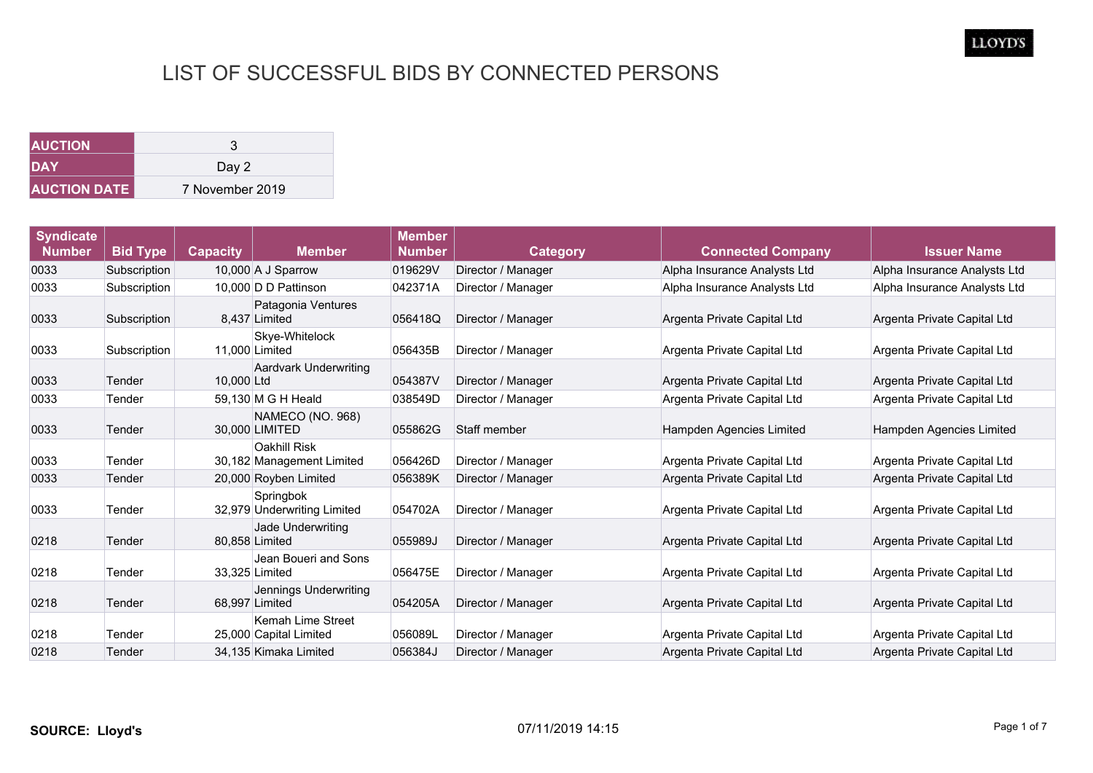| <b>AUCTION</b>      |                 |
|---------------------|-----------------|
| <b>DAY</b>          | Day 2           |
| <b>AUCTION DATE</b> | 7 November 2019 |

| <b>Syndicate</b><br><b>Number</b> | <b>Bid Type</b> | <b>Capacity</b> | <b>Member</b>                                    | <b>Member</b><br><b>Number</b> | <b>Category</b>    | <b>Connected Company</b>     | <b>Issuer Name</b>           |
|-----------------------------------|-----------------|-----------------|--------------------------------------------------|--------------------------------|--------------------|------------------------------|------------------------------|
| 0033                              | Subscription    |                 | 10,000 A J Sparrow                               | 019629V                        | Director / Manager | Alpha Insurance Analysts Ltd | Alpha Insurance Analysts Ltd |
| 0033                              | Subscription    |                 | 10.000 D D Pattinson                             | 042371A                        | Director / Manager | Alpha Insurance Analysts Ltd | Alpha Insurance Analysts Ltd |
| 0033                              | Subscription    |                 | Patagonia Ventures<br>8.437 Limited              | 056418Q                        | Director / Manager | Argenta Private Capital Ltd  | Argenta Private Capital Ltd  |
| 0033                              | Subscription    |                 | Skye-Whitelock<br>11,000 Limited                 | 056435B                        | Director / Manager | Argenta Private Capital Ltd  | Argenta Private Capital Ltd  |
| 0033                              | Tender          | 10,000 Ltd      | <b>Aardvark Underwriting</b>                     | 054387V                        | Director / Manager | Argenta Private Capital Ltd  | Argenta Private Capital Ltd  |
| 0033                              | Tender          |                 | 59.130 M G H Heald                               | 038549D                        | Director / Manager | Argenta Private Capital Ltd  | Argenta Private Capital Ltd  |
| 0033                              | Tender          |                 | NAMECO (NO. 968)<br>30,000 LIMITED               | 055862G                        | Staff member       | Hampden Agencies Limited     | Hampden Agencies Limited     |
| 0033                              | Tender          |                 | <b>Oakhill Risk</b><br>30,182 Management Limited | 056426D                        | Director / Manager | Argenta Private Capital Ltd  | Argenta Private Capital Ltd  |
| 0033                              | Tender          |                 | 20,000 Royben Limited                            | 056389K                        | Director / Manager | Argenta Private Capital Ltd  | Argenta Private Capital Ltd  |
| 0033                              | Tender          |                 | Springbok<br>32,979 Underwriting Limited         | 054702A                        | Director / Manager | Argenta Private Capital Ltd  | Argenta Private Capital Ltd  |
| 0218                              | Tender          |                 | Jade Underwriting<br>80,858 Limited              | 055989J                        | Director / Manager | Argenta Private Capital Ltd  | Argenta Private Capital Ltd  |
| 0218                              | Tender          |                 | Jean Boueri and Sons<br>33,325 Limited           | 056475E                        | Director / Manager | Argenta Private Capital Ltd  | Argenta Private Capital Ltd  |
| 0218                              | Tender          |                 | Jennings Underwriting<br>68,997 Limited          | 054205A                        | Director / Manager | Argenta Private Capital Ltd  | Argenta Private Capital Ltd  |
| 0218                              | Tender          |                 | Kemah Lime Street<br>25,000 Capital Limited      | 056089L                        | Director / Manager | Argenta Private Capital Ltd  | Argenta Private Capital Ltd  |
| 0218                              | Tender          |                 | 34.135 Kimaka Limited                            | 056384J                        | Director / Manager | Argenta Private Capital Ltd  | Argenta Private Capital Ltd  |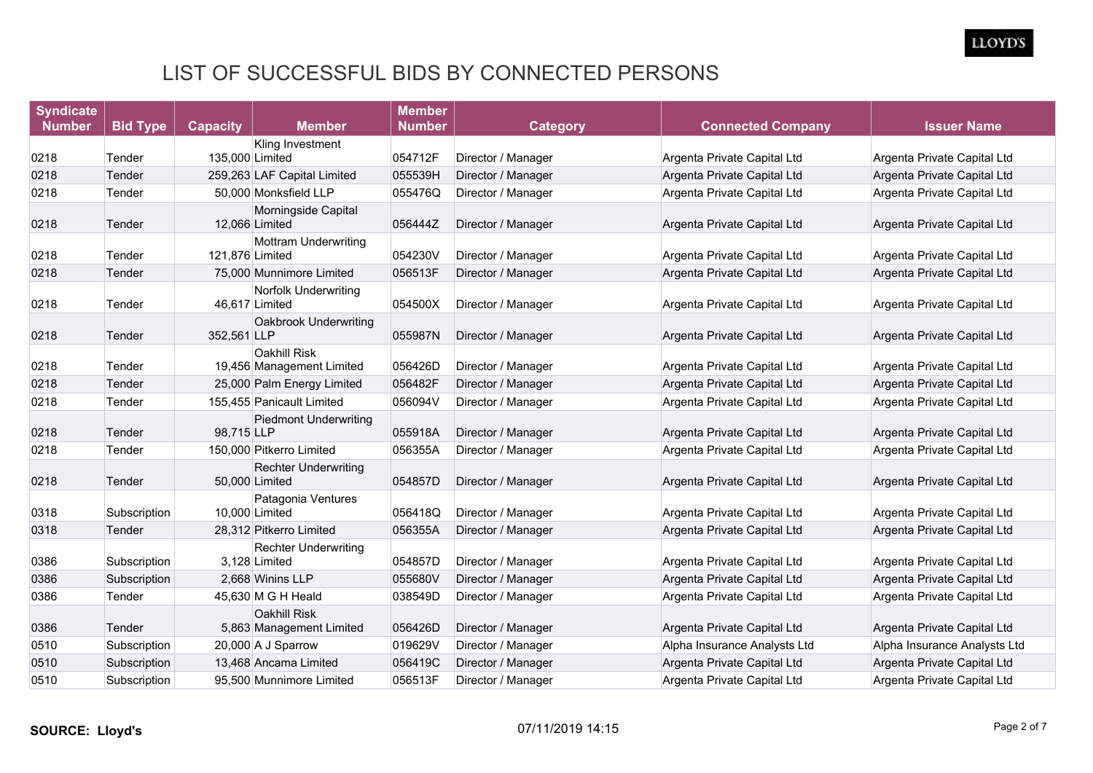| <b>Syndicate</b> |                 |                                                  | <b>Member</b> |                    |                              |                              |
|------------------|-----------------|--------------------------------------------------|---------------|--------------------|------------------------------|------------------------------|
| <b>Number</b>    | <b>Bid Type</b> | <b>Capacity</b><br><b>Member</b>                 | <b>Number</b> | <b>Category</b>    | <b>Connected Company</b>     | <b>Issuer Name</b>           |
|                  |                 | Kling Investment                                 |               |                    |                              |                              |
| 0218             | Tender          | 135,000 Limited                                  | 054712F       | Director / Manager | Argenta Private Capital Ltd  | Argenta Private Capital Ltd  |
| 0218             | Tender          | 259,263 LAF Capital Limited                      | 055539H       | Director / Manager | Argenta Private Capital Ltd  | Argenta Private Capital Ltd  |
| 0218             | Tender          | 50,000 Monksfield LLP                            | 055476Q       | Director / Manager | Argenta Private Capital Ltd  | Argenta Private Capital Ltd  |
| 0218             | Tender          | Morningside Capital<br>12,066 Limited            | 056444Z       | Director / Manager | Argenta Private Capital Ltd  | Argenta Private Capital Ltd  |
| 0218             | Tender          | <b>Mottram Underwriting</b><br>121.876 Limited   | 054230V       | Director / Manager | Argenta Private Capital Ltd  | Argenta Private Capital Ltd  |
| 0218             | Tender          | 75,000 Munnimore Limited                         | 056513F       | Director / Manager | Argenta Private Capital Ltd  | Argenta Private Capital Ltd  |
| 0218             | Tender          | <b>Norfolk Underwriting</b><br>46,617 Limited    | 054500X       | Director / Manager | Argenta Private Capital Ltd  | Argenta Private Capital Ltd  |
| 0218             | Tender          | Oakbrook Underwriting<br>352,561 LLP             | 055987N       | Director / Manager | Argenta Private Capital Ltd  | Argenta Private Capital Ltd  |
| 0218             | Tender          | <b>Oakhill Risk</b><br>19,456 Management Limited | 056426D       | Director / Manager | Argenta Private Capital Ltd  | Argenta Private Capital Ltd  |
| 0218             | Tender          | 25,000 Palm Energy Limited                       | 056482F       | Director / Manager | Argenta Private Capital Ltd  | Argenta Private Capital Ltd  |
| 0218             | Tender          | 155,455 Panicault Limited                        | 056094V       | Director / Manager | Argenta Private Capital Ltd  | Argenta Private Capital Ltd  |
| 0218             | Tender          | <b>Piedmont Underwriting</b><br>98,715 LLP       | 055918A       | Director / Manager | Argenta Private Capital Ltd  | Argenta Private Capital Ltd  |
| 0218             | Tender          | 150,000 Pitkerro Limited                         | 056355A       | Director / Manager | Argenta Private Capital Ltd  | Argenta Private Capital Ltd  |
| 0218             | Tender          | <b>Rechter Underwriting</b><br>50,000 Limited    | 054857D       | Director / Manager | Argenta Private Capital Ltd  | Argenta Private Capital Ltd  |
| 0318             | Subscription    | Patagonia Ventures<br>10,000 Limited             | 056418Q       | Director / Manager | Argenta Private Capital Ltd  | Argenta Private Capital Ltd  |
| 0318             | Tender          | 28,312 Pitkerro Limited                          | 056355A       | Director / Manager | Argenta Private Capital Ltd  | Argenta Private Capital Ltd  |
| 0386             | Subscription    | <b>Rechter Underwriting</b><br>3,128 Limited     | 054857D       | Director / Manager | Argenta Private Capital Ltd  | Argenta Private Capital Ltd  |
| 0386             | Subscription    | 2.668 Winins LLP                                 | 055680V       | Director / Manager | Argenta Private Capital Ltd  | Argenta Private Capital Ltd  |
| 0386             | Tender          | 45,630 M G H Heald                               | 038549D       | Director / Manager | Argenta Private Capital Ltd  | Argenta Private Capital Ltd  |
| 0386             | Tender          | <b>Oakhill Risk</b><br>5,863 Management Limited  | 056426D       | Director / Manager | Argenta Private Capital Ltd  | Argenta Private Capital Ltd  |
| 0510             | Subscription    | 20,000 A J Sparrow                               | 019629V       | Director / Manager | Alpha Insurance Analysts Ltd | Alpha Insurance Analysts Ltd |
| 0510             | Subscription    | 13,468 Ancama Limited                            | 056419C       | Director / Manager | Argenta Private Capital Ltd  | Argenta Private Capital Ltd  |
| 0510             | Subscription    | 95.500 Munnimore Limited                         | 056513F       | Director / Manager | Argenta Private Capital Ltd  | Argenta Private Capital Ltd  |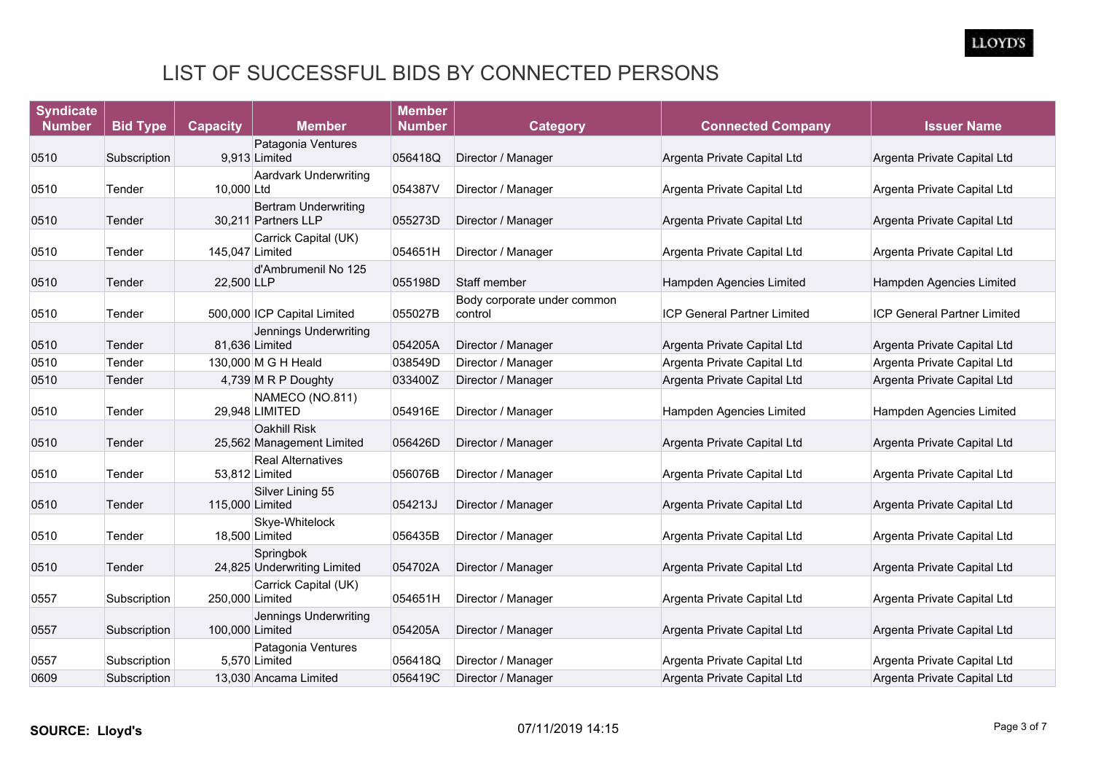| <b>Syndicate</b> |                 |                 |                                                    | <b>Member</b> |                                        |                                    |                                    |
|------------------|-----------------|-----------------|----------------------------------------------------|---------------|----------------------------------------|------------------------------------|------------------------------------|
| <b>Number</b>    | <b>Bid Type</b> | <b>Capacity</b> | <b>Member</b>                                      | <b>Number</b> | <b>Category</b>                        | <b>Connected Company</b>           | <b>Issuer Name</b>                 |
|                  |                 |                 | Patagonia Ventures                                 |               |                                        |                                    |                                    |
| 0510             | Subscription    |                 | 9,913 Limited                                      | 056418Q       | Director / Manager                     | Argenta Private Capital Ltd        | Argenta Private Capital Ltd        |
| 0510             | Tender          | 10,000 Ltd      | <b>Aardvark Underwriting</b>                       | 054387V       | Director / Manager                     | Argenta Private Capital Ltd        | Argenta Private Capital Ltd        |
| 0510             | Tender          |                 | <b>Bertram Underwriting</b><br>30,211 Partners LLP | 055273D       | Director / Manager                     | Argenta Private Capital Ltd        | Argenta Private Capital Ltd        |
| 0510             | Tender          | 145,047 Limited | Carrick Capital (UK)                               | 054651H       | Director / Manager                     | Argenta Private Capital Ltd        | Argenta Private Capital Ltd        |
| 0510             | Tender          | 22.500 LLP      | d'Ambrumenil No 125                                | 055198D       | Staff member                           | Hampden Agencies Limited           | Hampden Agencies Limited           |
| 0510             | Tender          |                 | 500,000 ICP Capital Limited                        | 055027B       | Body corporate under common<br>control | <b>ICP General Partner Limited</b> | <b>ICP General Partner Limited</b> |
| 0510             | Tender          |                 | Jennings Underwriting<br>81,636 Limited            | 054205A       | Director / Manager                     | Argenta Private Capital Ltd        | Argenta Private Capital Ltd        |
| 0510             | Tender          |                 | 130,000 M G H Heald                                | 038549D       | Director / Manager                     | Argenta Private Capital Ltd        | Argenta Private Capital Ltd        |
| 0510             | Tender          |                 | 4,739 M R P Doughty                                | 033400Z       | Director / Manager                     | Argenta Private Capital Ltd        | Argenta Private Capital Ltd        |
| 0510             | Tender          |                 | NAMECO (NO.811)<br>29,948 LIMITED                  | 054916E       | Director / Manager                     | Hampden Agencies Limited           | Hampden Agencies Limited           |
| 0510             | Tender          |                 | <b>Oakhill Risk</b><br>25,562 Management Limited   | 056426D       | Director / Manager                     | Argenta Private Capital Ltd        | Argenta Private Capital Ltd        |
| 0510             | Tender          |                 | <b>Real Alternatives</b><br>53,812 Limited         | 056076B       | Director / Manager                     | Argenta Private Capital Ltd        | Argenta Private Capital Ltd        |
| 0510             | Tender          | 115,000 Limited | Silver Lining 55                                   | 054213J       | Director / Manager                     | Argenta Private Capital Ltd        | Argenta Private Capital Ltd        |
| 0510             | Tender          |                 | Skye-Whitelock<br>18,500 Limited                   | 056435B       | Director / Manager                     | Argenta Private Capital Ltd        | Argenta Private Capital Ltd        |
| 0510             | Tender          |                 | Springbok<br>24,825 Underwriting Limited           | 054702A       | Director / Manager                     | Argenta Private Capital Ltd        | Argenta Private Capital Ltd        |
| 0557             | Subscription    | 250,000 Limited | Carrick Capital (UK)                               | 054651H       | Director / Manager                     | Argenta Private Capital Ltd        | Argenta Private Capital Ltd        |
| 0557             | Subscription    | 100,000 Limited | Jennings Underwriting                              | 054205A       | Director / Manager                     | Argenta Private Capital Ltd        | Argenta Private Capital Ltd        |
| 0557             | Subscription    |                 | Patagonia Ventures<br>5.570 Limited                | 056418Q       | Director / Manager                     | Argenta Private Capital Ltd        | Argenta Private Capital Ltd        |
| 0609             | Subscription    |                 | 13.030 Ancama Limited                              | 056419C       | Director / Manager                     | Argenta Private Capital Ltd        | Argenta Private Capital Ltd        |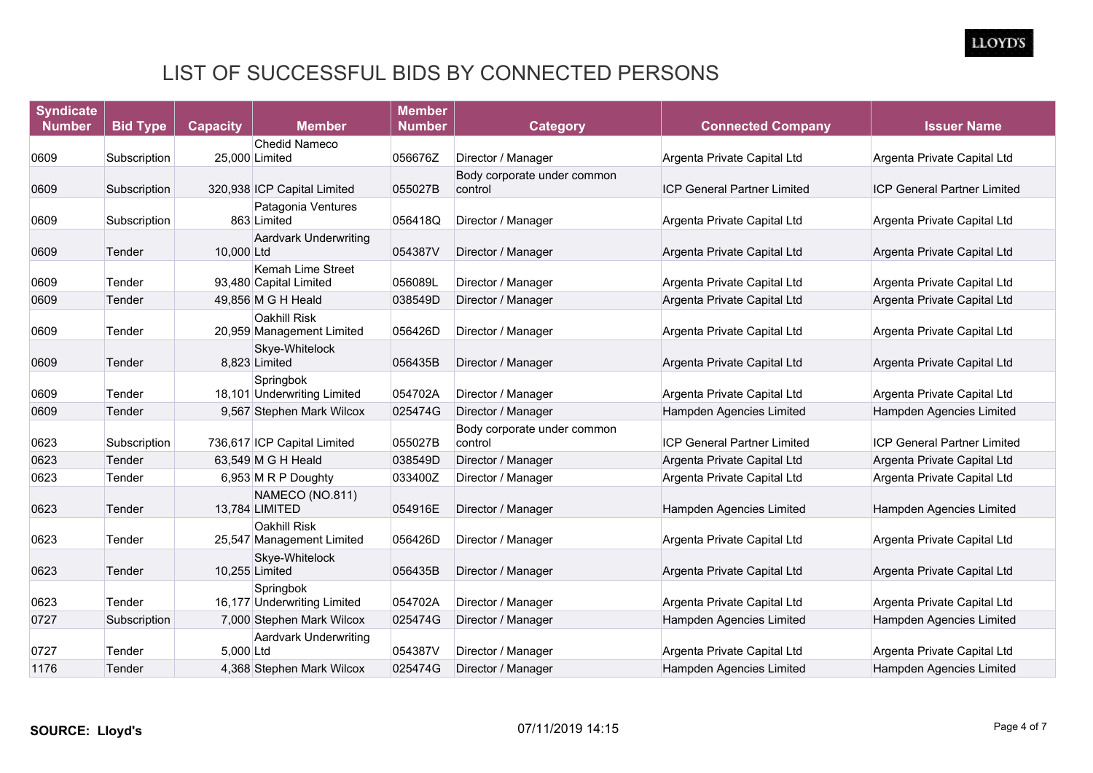| <b>Syndicate</b> |                 |                 |                                                    | <b>Member</b> |                                        |                                    |                                    |
|------------------|-----------------|-----------------|----------------------------------------------------|---------------|----------------------------------------|------------------------------------|------------------------------------|
| <b>Number</b>    | <b>Bid Type</b> | <b>Capacity</b> | <b>Member</b>                                      | <b>Number</b> | <b>Category</b>                        | <b>Connected Company</b>           | <b>Issuer Name</b>                 |
|                  |                 |                 | <b>Chedid Nameco</b>                               |               |                                        |                                    |                                    |
| 0609             | Subscription    |                 | 25,000 Limited                                     | 056676Z       | Director / Manager                     | Argenta Private Capital Ltd        | Argenta Private Capital Ltd        |
| 0609             | Subscription    |                 | 320,938 ICP Capital Limited                        | 055027B       | Body corporate under common<br>control | <b>ICP General Partner Limited</b> | <b>ICP General Partner Limited</b> |
| 0609             | Subscription    |                 | Patagonia Ventures<br>863 Limited                  | 056418Q       | Director / Manager                     | Argenta Private Capital Ltd        | Argenta Private Capital Ltd        |
| 0609             | Tender          | 10,000 Ltd      | <b>Aardvark Underwriting</b>                       | 054387V       | Director / Manager                     | Argenta Private Capital Ltd        | Argenta Private Capital Ltd        |
| 0609             | Tender          |                 | <b>Kemah Lime Street</b><br>93,480 Capital Limited | 056089L       | Director / Manager                     | Argenta Private Capital Ltd        | Argenta Private Capital Ltd        |
| 0609             | Tender          |                 | 49,856 M G H Heald                                 | 038549D       | Director / Manager                     | Argenta Private Capital Ltd        | Argenta Private Capital Ltd        |
| 0609             | Tender          |                 | <b>Oakhill Risk</b><br>20,959 Management Limited   | 056426D       | Director / Manager                     | Argenta Private Capital Ltd        | Argenta Private Capital Ltd        |
| 0609             | Tender          |                 | Skye-Whitelock<br>8,823 Limited                    | 056435B       | Director / Manager                     | Argenta Private Capital Ltd        | Argenta Private Capital Ltd        |
| 0609             | Tender          |                 | Springbok<br>18,101 Underwriting Limited           | 054702A       | Director / Manager                     | Argenta Private Capital Ltd        | Argenta Private Capital Ltd        |
| 0609             | Tender          |                 | 9,567 Stephen Mark Wilcox                          | 025474G       | Director / Manager                     | Hampden Agencies Limited           | Hampden Agencies Limited           |
| 0623             | Subscription    |                 | 736,617 ICP Capital Limited                        | 055027B       | Body corporate under common<br>control | <b>ICP General Partner Limited</b> | ICP General Partner Limited        |
| 0623             | Tender          |                 | 63,549 M G H Heald                                 | 038549D       | Director / Manager                     | Argenta Private Capital Ltd        | Argenta Private Capital Ltd        |
| 0623             | Tender          |                 | 6,953 M R P Doughty                                | 033400Z       | Director / Manager                     | Argenta Private Capital Ltd        | Argenta Private Capital Ltd        |
| 0623             | Tender          |                 | NAMECO (NO.811)<br>13,784 LIMITED                  | 054916E       | Director / Manager                     | Hampden Agencies Limited           | Hampden Agencies Limited           |
| 0623             | Tender          |                 | <b>Oakhill Risk</b><br>25,547 Management Limited   | 056426D       | Director / Manager                     | Argenta Private Capital Ltd        | Argenta Private Capital Ltd        |
| 0623             | Tender          |                 | Skye-Whitelock<br>10,255 Limited                   | 056435B       | Director / Manager                     | Argenta Private Capital Ltd        | Argenta Private Capital Ltd        |
| 0623             | Tender          |                 | Springbok<br>16,177 Underwriting Limited           | 054702A       | Director / Manager                     | Argenta Private Capital Ltd        | Argenta Private Capital Ltd        |
| 0727             | Subscription    |                 | 7,000 Stephen Mark Wilcox                          | 025474G       | Director / Manager                     | Hampden Agencies Limited           | Hampden Agencies Limited           |
| 0727             | Tender          | 5.000 Ltd       | <b>Aardvark Underwriting</b>                       | 054387V       | Director / Manager                     | Argenta Private Capital Ltd        | Argenta Private Capital Ltd        |
| 1176             | Tender          |                 | 4,368 Stephen Mark Wilcox                          | 025474G       | Director / Manager                     | Hampden Agencies Limited           | Hampden Agencies Limited           |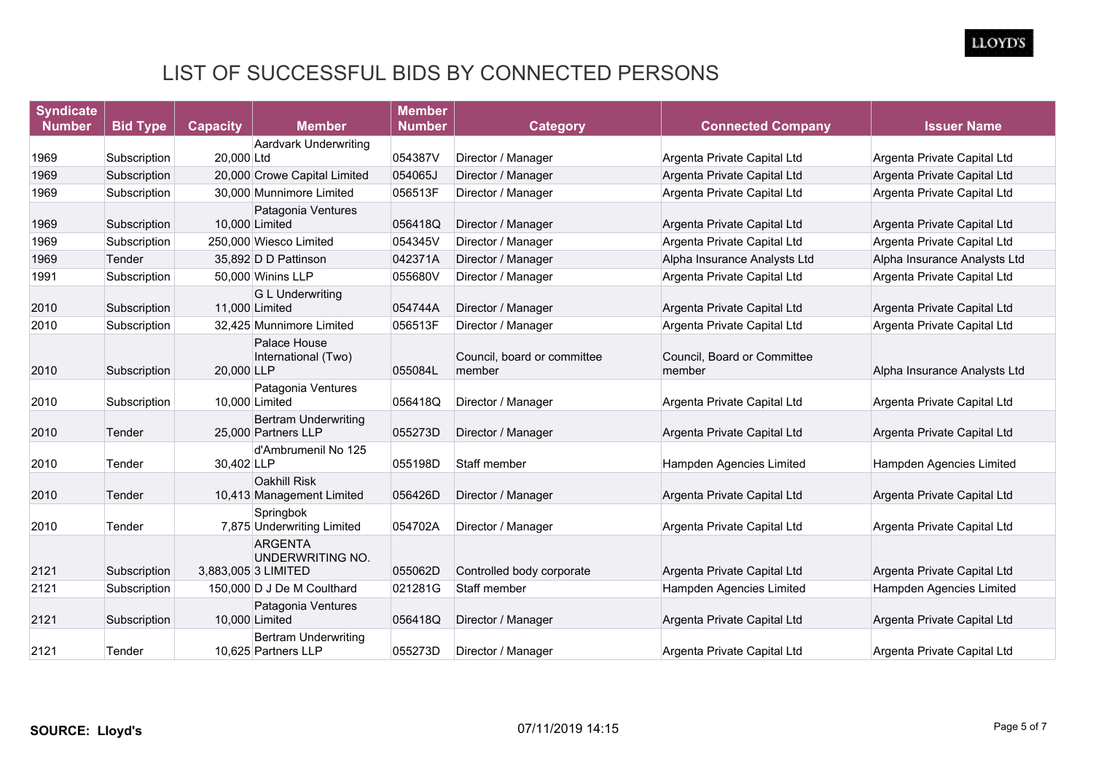| <b>Syndicate</b> |                 |                 |                                                           | <b>Member</b> |                                       |                                       |                              |
|------------------|-----------------|-----------------|-----------------------------------------------------------|---------------|---------------------------------------|---------------------------------------|------------------------------|
| <b>Number</b>    | <b>Bid Type</b> | <b>Capacity</b> | <b>Member</b>                                             | <b>Number</b> | <b>Category</b>                       | <b>Connected Company</b>              | <b>Issuer Name</b>           |
|                  |                 |                 | <b>Aardvark Underwriting</b>                              |               |                                       |                                       |                              |
| 1969             | Subscription    | 20,000 Ltd      |                                                           | 054387V       | Director / Manager                    | Argenta Private Capital Ltd           | Argenta Private Capital Ltd  |
| 1969             | Subscription    |                 | 20,000 Crowe Capital Limited                              | 054065J       | Director / Manager                    | Argenta Private Capital Ltd           | Argenta Private Capital Ltd  |
| 1969             | Subscription    |                 | 30,000 Munnimore Limited                                  | 056513F       | Director / Manager                    | Argenta Private Capital Ltd           | Argenta Private Capital Ltd  |
| 1969             | Subscription    |                 | Patagonia Ventures<br>10,000 Limited                      | 056418Q       | Director / Manager                    | Argenta Private Capital Ltd           | Argenta Private Capital Ltd  |
| 1969             | Subscription    |                 | 250,000 Wiesco Limited                                    | 054345V       | Director / Manager                    | Argenta Private Capital Ltd           | Argenta Private Capital Ltd  |
| 1969             | Tender          |                 | 35,892 D D Pattinson                                      | 042371A       | Director / Manager                    | Alpha Insurance Analysts Ltd          | Alpha Insurance Analysts Ltd |
| 1991             | Subscription    |                 | 50,000 Winins LLP                                         | 055680V       | Director / Manager                    | Argenta Private Capital Ltd           | Argenta Private Capital Ltd  |
| 2010             | Subscription    | 11,000 Limited  | <b>G L Underwriting</b>                                   | 054744A       | Director / Manager                    | Argenta Private Capital Ltd           | Argenta Private Capital Ltd  |
| 2010             | Subscription    |                 | 32,425 Munnimore Limited                                  | 056513F       | Director / Manager                    | Argenta Private Capital Ltd           | Argenta Private Capital Ltd  |
| 2010             | Subscription    | 20.000 LLP      | Palace House<br>International (Two)                       | 055084L       | Council, board or committee<br>member | Council, Board or Committee<br>member | Alpha Insurance Analysts Ltd |
| 2010             | Subscription    | 10,000 Limited  | Patagonia Ventures                                        | 056418Q       | Director / Manager                    | Argenta Private Capital Ltd           | Argenta Private Capital Ltd  |
| 2010             | Tender          |                 | <b>Bertram Underwriting</b><br>25,000 Partners LLP        | 055273D       | Director / Manager                    | Argenta Private Capital Ltd           | Argenta Private Capital Ltd  |
| 2010             | Tender          | 30,402 LLP      | d'Ambrumenil No 125                                       | 055198D       | Staff member                          | Hampden Agencies Limited              | Hampden Agencies Limited     |
| 2010             | Tender          |                 | <b>Oakhill Risk</b><br>10,413 Management Limited          | 056426D       | Director / Manager                    | Argenta Private Capital Ltd           | Argenta Private Capital Ltd  |
| 2010             | Tender          |                 | Springbok<br>7,875 Underwriting Limited                   | 054702A       | Director / Manager                    | Argenta Private Capital Ltd           | Argenta Private Capital Ltd  |
| 2121             | Subscription    |                 | <b>ARGENTA</b><br>UNDERWRITING NO.<br>3,883,005 3 LIMITED | 055062D       | Controlled body corporate             | Argenta Private Capital Ltd           | Argenta Private Capital Ltd  |
| 2121             | Subscription    |                 | 150,000 D J De M Coulthard                                | 021281G       | Staff member                          | Hampden Agencies Limited              | Hampden Agencies Limited     |
| 2121             | Subscription    | 10,000 Limited  | Patagonia Ventures                                        | 056418Q       | Director / Manager                    | Argenta Private Capital Ltd           | Argenta Private Capital Ltd  |
| 2121             | Tender          |                 | <b>Bertram Underwriting</b><br>10.625 Partners LLP        | 055273D       | Director / Manager                    | Argenta Private Capital Ltd           | Argenta Private Capital Ltd  |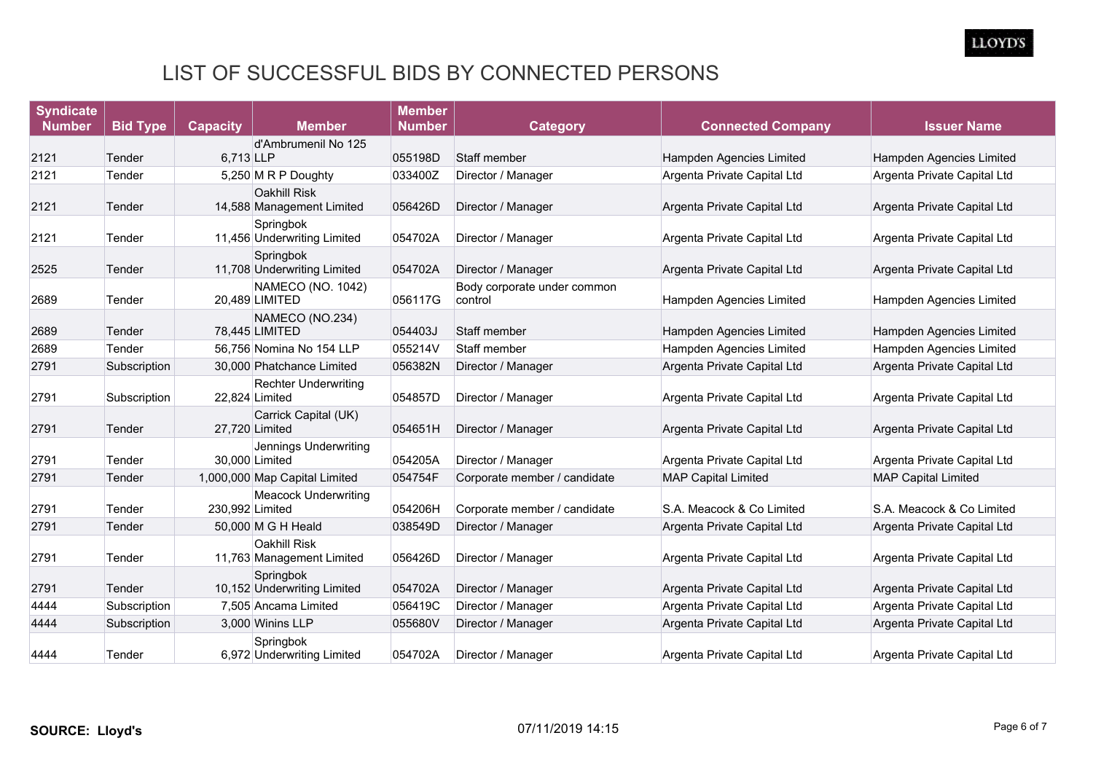| <b>Syndicate</b> |                 |                 |                                               | <b>Member</b> |                                        |                             |                             |
|------------------|-----------------|-----------------|-----------------------------------------------|---------------|----------------------------------------|-----------------------------|-----------------------------|
| <b>Number</b>    | <b>Bid Type</b> | <b>Capacity</b> | <b>Member</b>                                 | <b>Number</b> | <b>Category</b>                        | <b>Connected Company</b>    | <b>Issuer Name</b>          |
|                  |                 |                 | d'Ambrumenil No 125                           |               |                                        |                             |                             |
| 2121             | Tender          | 6,713 LLP       |                                               | 055198D       | Staff member                           | Hampden Agencies Limited    | Hampden Agencies Limited    |
| 2121             | Tender          |                 | 5,250 M R P Doughty                           | 033400Z       | Director / Manager                     | Argenta Private Capital Ltd | Argenta Private Capital Ltd |
| 2121             | Tender          |                 | Oakhill Risk<br>14,588 Management Limited     | 056426D       | Director / Manager                     | Argenta Private Capital Ltd | Argenta Private Capital Ltd |
| 2121             | Tender          |                 | Springbok<br>11,456 Underwriting Limited      | 054702A       | Director / Manager                     | Argenta Private Capital Ltd | Argenta Private Capital Ltd |
| 2525             | Tender          |                 | Springbok<br>11,708 Underwriting Limited      | 054702A       | Director / Manager                     | Argenta Private Capital Ltd | Argenta Private Capital Ltd |
| 2689             | Tender          |                 | NAMECO (NO. 1042)<br>20,489 LIMITED           | 056117G       | Body corporate under common<br>control | Hampden Agencies Limited    | Hampden Agencies Limited    |
| 2689             | Tender          |                 | NAMECO (NO.234)<br>78,445 LIMITED             | 054403J       | Staff member                           | Hampden Agencies Limited    | Hampden Agencies Limited    |
| 2689             | Tender          |                 | 56,756 Nomina No 154 LLP                      | 055214V       | Staff member                           | Hampden Agencies Limited    | Hampden Agencies Limited    |
| 2791             | Subscription    |                 | 30,000 Phatchance Limited                     | 056382N       | Director / Manager                     | Argenta Private Capital Ltd | Argenta Private Capital Ltd |
| 2791             | Subscription    |                 | <b>Rechter Underwriting</b><br>22,824 Limited | 054857D       | Director / Manager                     | Argenta Private Capital Ltd | Argenta Private Capital Ltd |
| 2791             | Tender          |                 | Carrick Capital (UK)<br>27,720 Limited        | 054651H       | Director / Manager                     | Argenta Private Capital Ltd | Argenta Private Capital Ltd |
| 2791             | Tender          |                 | Jennings Underwriting<br>30,000 Limited       | 054205A       | Director / Manager                     | Argenta Private Capital Ltd | Argenta Private Capital Ltd |
| 2791             | Tender          |                 | 1,000,000 Map Capital Limited                 | 054754F       | Corporate member / candidate           | <b>MAP Capital Limited</b>  | <b>MAP Capital Limited</b>  |
| 2791             | Tender          | 230,992 Limited | <b>Meacock Underwriting</b>                   | 054206H       | Corporate member / candidate           | S.A. Meacock & Co Limited   | S.A. Meacock & Co Limited   |
| 2791             | Tender          |                 | 50,000 M G H Heald                            | 038549D       | Director / Manager                     | Argenta Private Capital Ltd | Argenta Private Capital Ltd |
| 2791             | Tender          |                 | Oakhill Risk<br>11,763 Management Limited     | 056426D       | Director / Manager                     | Argenta Private Capital Ltd | Argenta Private Capital Ltd |
| 2791             | Tender          |                 | Springbok<br>10,152 Underwriting Limited      | 054702A       | Director / Manager                     | Argenta Private Capital Ltd | Argenta Private Capital Ltd |
| 4444             | Subscription    |                 | 7.505 Ancama Limited                          | 056419C       | Director / Manager                     | Argenta Private Capital Ltd | Argenta Private Capital Ltd |
| 4444             | Subscription    |                 | 3,000 Winins LLP                              | 055680V       | Director / Manager                     | Argenta Private Capital Ltd | Argenta Private Capital Ltd |
| 4444             | Tender          |                 | Springbok<br>6,972 Underwriting Limited       | 054702A       | Director / Manager                     | Argenta Private Capital Ltd | Argenta Private Capital Ltd |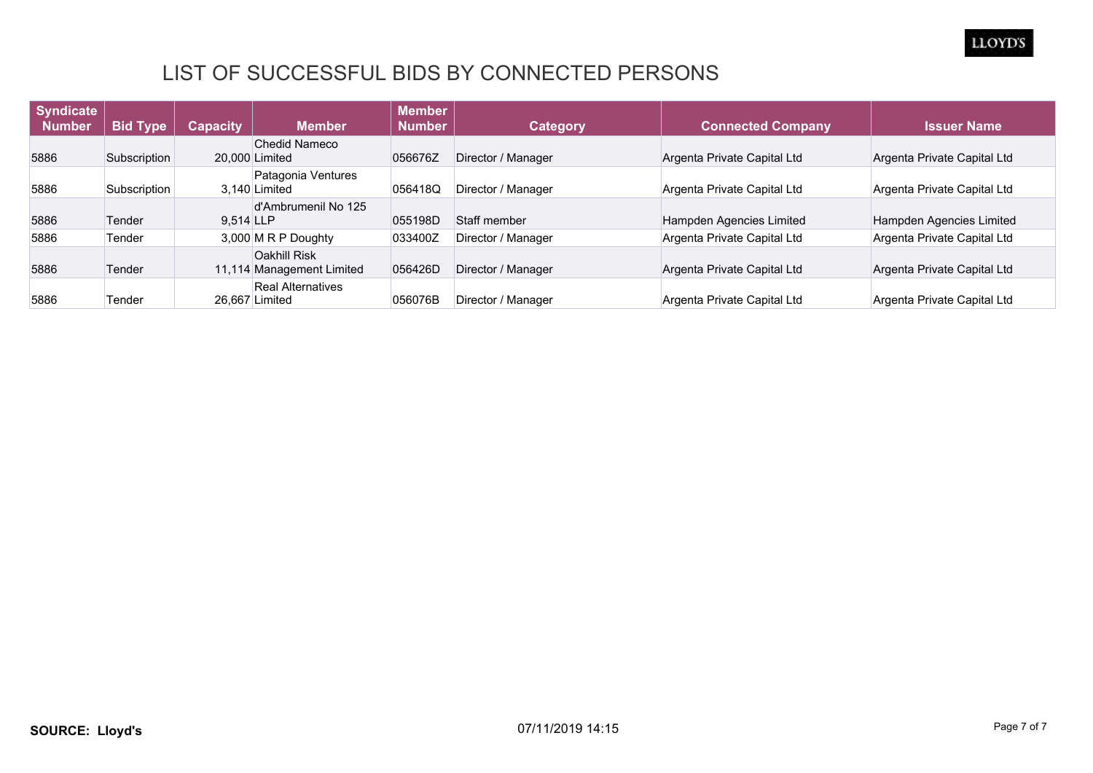

| <b>Syndicate</b><br><b>Number</b> | <b>Bid Type</b> | <b>Capacity</b> | <b>Member</b>                                    | <b>Member</b><br><b>Number</b> | Category           | <b>Connected Company</b>    | <b>Issuer Name</b>          |
|-----------------------------------|-----------------|-----------------|--------------------------------------------------|--------------------------------|--------------------|-----------------------------|-----------------------------|
| 5886                              | Subscription    |                 | <b>Chedid Nameco</b><br>20,000 Limited           | 056676Z                        | Director / Manager | Argenta Private Capital Ltd | Argenta Private Capital Ltd |
|                                   |                 |                 |                                                  |                                |                    |                             |                             |
| 5886                              | Subscription    |                 | Patagonia Ventures<br>3.140 Limited              | 056418Q                        | Director / Manager | Argenta Private Capital Ltd | Argenta Private Capital Ltd |
| 5886                              | Tender          | 9.514 LLP       | d'Ambrumenil No 125                              | 055198D                        | Staff member       | Hampden Agencies Limited    | Hampden Agencies Limited    |
| 5886                              | Tender          |                 | 3,000 M R P Doughty                              | 033400Z                        | Director / Manager | Argenta Private Capital Ltd | Argenta Private Capital Ltd |
| 5886                              | Tender          |                 | <b>Oakhill Risk</b><br>11,114 Management Limited | 056426D                        | Director / Manager | Argenta Private Capital Ltd | Argenta Private Capital Ltd |
| 5886                              | Tender          |                 | <b>Real Alternatives</b><br>26.667 Limited       | 056076B                        | Director / Manager | Argenta Private Capital Ltd | Argenta Private Capital Ltd |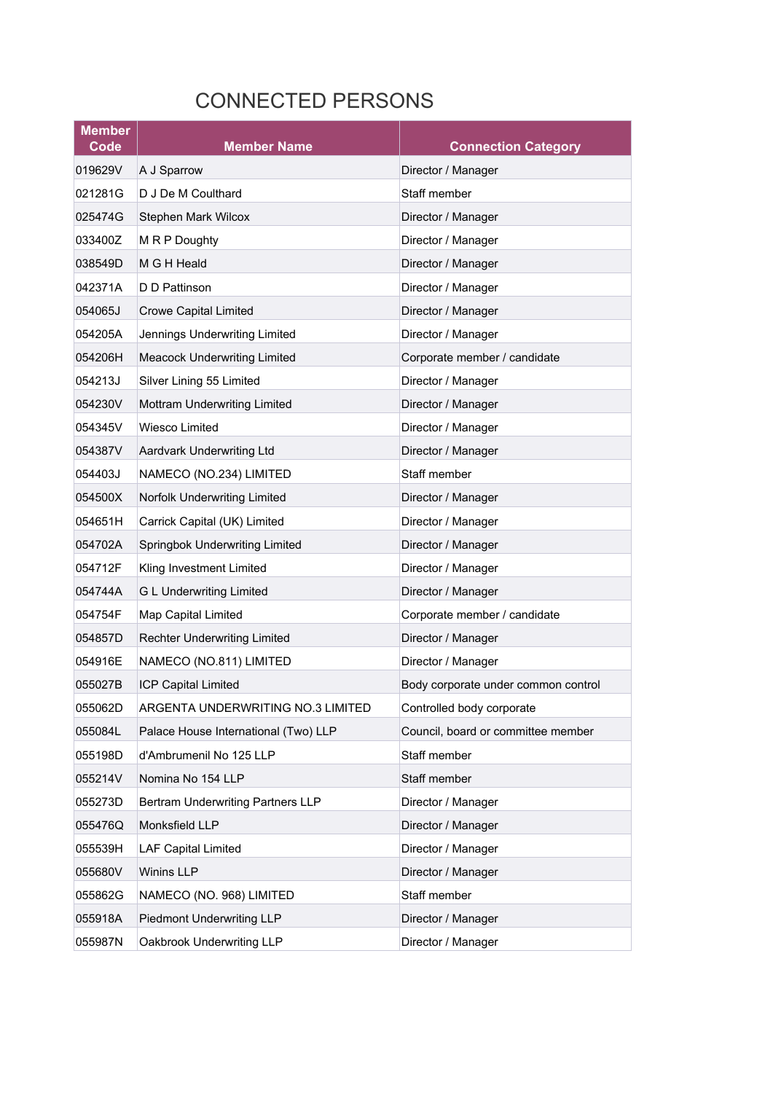# CONNECTED PERSONS

| <b>Member</b><br>Code | <b>Member Name</b>                   | <b>Connection Category</b>          |
|-----------------------|--------------------------------------|-------------------------------------|
| 019629V               | A J Sparrow                          | Director / Manager                  |
| 021281G               | D J De M Coulthard                   | Staff member                        |
| 025474G               | Stephen Mark Wilcox                  | Director / Manager                  |
| 033400Z               | M R P Doughty                        | Director / Manager                  |
| 038549D               | M G H Heald                          | Director / Manager                  |
| 042371A               | D D Pattinson                        | Director / Manager                  |
| 054065J               | <b>Crowe Capital Limited</b>         | Director / Manager                  |
| 054205A               | Jennings Underwriting Limited        | Director / Manager                  |
| 054206H               | <b>Meacock Underwriting Limited</b>  | Corporate member / candidate        |
| 054213J               | Silver Lining 55 Limited             | Director / Manager                  |
| 054230V               | Mottram Underwriting Limited         | Director / Manager                  |
| 054345V               | Wiesco Limited                       | Director / Manager                  |
| 054387V               | Aardvark Underwriting Ltd            | Director / Manager                  |
| 054403J               | NAMECO (NO.234) LIMITED              | Staff member                        |
| 054500X               | Norfolk Underwriting Limited         | Director / Manager                  |
| 054651H               | Carrick Capital (UK) Limited         | Director / Manager                  |
| 054702A               | Springbok Underwriting Limited       | Director / Manager                  |
| 054712F               | Kling Investment Limited             | Director / Manager                  |
| 054744A               | <b>G L Underwriting Limited</b>      | Director / Manager                  |
| 054754F               | Map Capital Limited                  | Corporate member / candidate        |
| 054857D               | <b>Rechter Underwriting Limited</b>  | Director / Manager                  |
| 054916E               | NAMECO (NO.811) LIMITED              | Director / Manager                  |
| 055027B               | ICP Capital Limited                  | Body corporate under common control |
| 055062D               | ARGENTA UNDERWRITING NO.3 LIMITED    | Controlled body corporate           |
| 055084L               | Palace House International (Two) LLP | Council, board or committee member  |
| 055198D               | d'Ambrumenil No 125 LLP              | Staff member                        |
| 055214V               | Nomina No 154 LLP                    | Staff member                        |
| 055273D               | Bertram Underwriting Partners LLP    | Director / Manager                  |
| 055476Q               | Monksfield LLP                       | Director / Manager                  |
| 055539H               | <b>LAF Capital Limited</b>           | Director / Manager                  |
| 055680V               | Winins LLP                           | Director / Manager                  |
| 055862G               | NAMECO (NO. 968) LIMITED             | Staff member                        |
| 055918A               | Piedmont Underwriting LLP            | Director / Manager                  |
| 055987N               | Oakbrook Underwriting LLP            | Director / Manager                  |